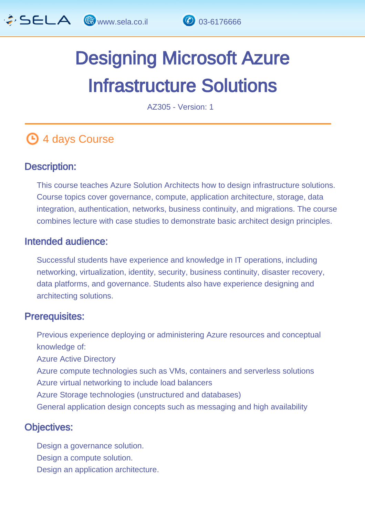

# Designing Microsoft Azure Infrastructure Solutions

AZ305 - Version: 1

# **4 days Course**

### Description: Ĩ

This course teaches Azure Solution Architects how to design infrastructure solutions. Course topics cover governance, compute, application architecture, storage, data integration, authentication, networks, business continuity, and migrations. The course combines lecture with case studies to demonstrate basic architect design principles.

### Intended audience: Ï

Successful students have experience and knowledge in IT operations, including networking, virtualization, identity, security, business continuity, disaster recovery, data platforms, and governance. Students also have experience designing and architecting solutions.

#### Prerequisites: L,

Previous experience deploying or administering Azure resources and conceptual knowledge of:

Azure Active Directory

Azure compute technologies such as VMs, containers and serverless solutions

- Azure virtual networking to include load balancers
- Azure Storage technologies (unstructured and databases)
- General application design concepts such as messaging and high availability

### Objectives: Ĭ

Design a governance solution. Design a compute solution. Design an application architecture.